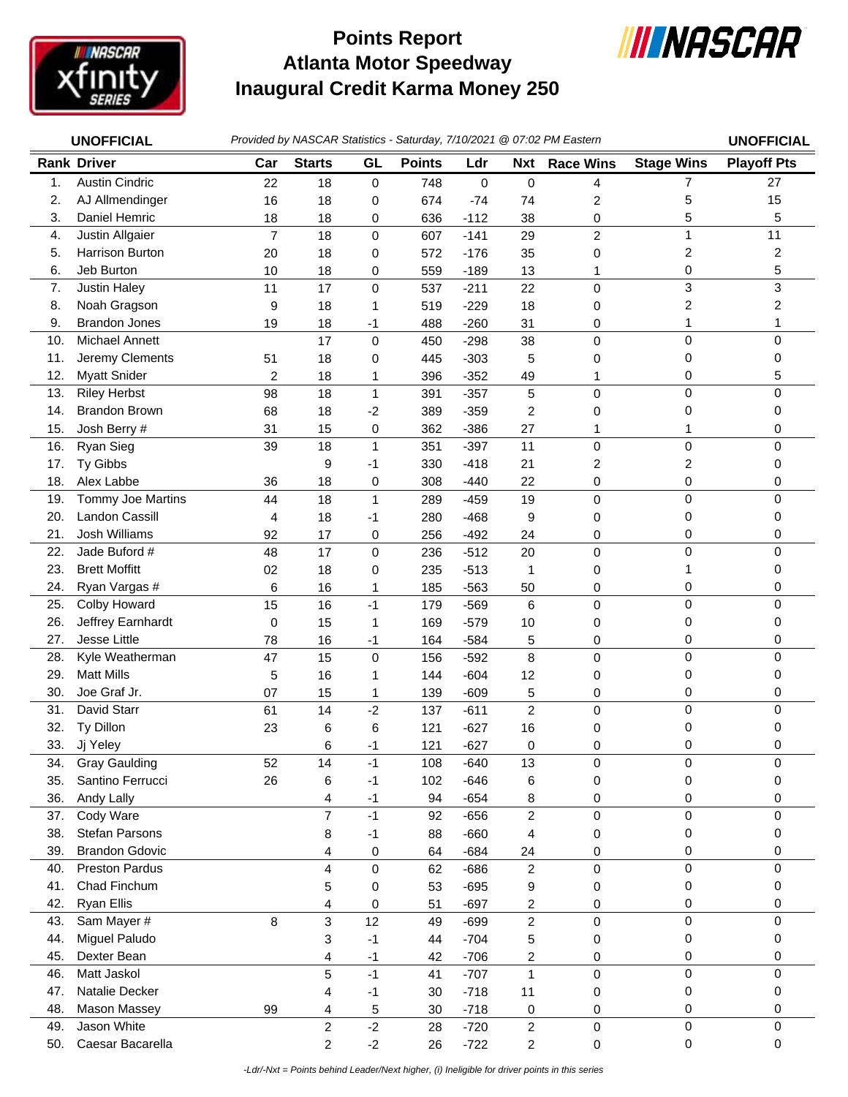

## **Atlanta Motor Speedway Inaugural Credit Karma Money 250 Points Report**



|     | <b>UNOFFICIAL</b>     |                |                |              |               |             |                  | Provided by NASCAR Statistics - Saturday, 7/10/2021 @ 07:02 PM Eastern |                   | <b>UNOFFICIAL</b>  |
|-----|-----------------------|----------------|----------------|--------------|---------------|-------------|------------------|------------------------------------------------------------------------|-------------------|--------------------|
|     | <b>Rank Driver</b>    | Car            | <b>Starts</b>  | GL           | <b>Points</b> | Ldr         | <b>Nxt</b>       | <b>Race Wins</b>                                                       | <b>Stage Wins</b> | <b>Playoff Pts</b> |
| 1.  | <b>Austin Cindric</b> | 22             | 18             | $\mathbf 0$  | 748           | $\mathbf 0$ | $\mathbf 0$      | 4                                                                      | $\overline{7}$    | 27                 |
| 2.  | AJ Allmendinger       | 16             | 18             | 0            | 674           | $-74$       | 74               | 2                                                                      | 5                 | 15                 |
| 3.  | Daniel Hemric         | 18             | 18             | 0            | 636           | $-112$      | 38               | 0                                                                      | 5                 | 5                  |
| 4.  | Justin Allgaier       | $\overline{7}$ | 18             | $\mathsf 0$  | 607           | $-141$      | 29               | $\overline{c}$                                                         | $\mathbf{1}$      | 11                 |
| 5.  | Harrison Burton       | 20             | 18             | 0            | 572           | $-176$      | 35               | 0                                                                      | 2                 | 2                  |
| 6.  | Jeb Burton            | 10             | 18             | 0            | 559           | $-189$      | 13               | 1                                                                      | 0                 | 5                  |
| 7.  | <b>Justin Haley</b>   | 11             | 17             | 0            | 537           | $-211$      | 22               | 0                                                                      | 3                 | 3                  |
| 8.  | Noah Gragson          | 9              | 18             | 1            | 519           | $-229$      | 18               | 0                                                                      | 2                 | 2                  |
| 9.  | <b>Brandon Jones</b>  | 19             | 18             | $-1$         | 488           | $-260$      | 31               | 0                                                                      | 1                 | 1                  |
| 10. | Michael Annett        |                | 17             | 0            | 450           | $-298$      | 38               | 0                                                                      | 0                 | 0                  |
| 11. | Jeremy Clements       | 51             | 18             | 0            | 445           | $-303$      | 5                | 0                                                                      | 0                 | 0                  |
| 12. | <b>Myatt Snider</b>   | 2              | 18             | 1            | 396           | $-352$      | 49               | 1                                                                      | 0                 | 5                  |
| 13. | <b>Riley Herbst</b>   | 98             | 18             | $\mathbf{1}$ | 391           | $-357$      | $\mathbf 5$      | $\mathbf 0$                                                            | 0                 | 0                  |
| 14. | <b>Brandon Brown</b>  | 68             | 18             | $-2$         | 389           | $-359$      | 2                | 0                                                                      | 0                 | 0                  |
| 15. | Josh Berry #          | 31             | 15             | 0            | 362           | $-386$      | 27               | 1                                                                      | 1                 | 0                  |
| 16. | Ryan Sieg             | 39             | 18             | $\mathbf{1}$ | 351           | $-397$      | 11               | 0                                                                      | 0                 | 0                  |
| 17. | Ty Gibbs              |                | 9              | -1           | 330           | $-418$      | 21               | 2                                                                      | 2                 | 0                  |
| 18. | Alex Labbe            | 36             | 18             | 0            | 308           | $-440$      | 22               | 0                                                                      | 0                 | 0                  |
| 19. | Tommy Joe Martins     | 44             | 18             | $\mathbf{1}$ | 289           | $-459$      | 19               | $\mathbf 0$                                                            | 0                 | 0                  |
| 20. | Landon Cassill        | 4              | 18             | $-1$         | 280           | $-468$      | 9                | 0                                                                      | 0                 | 0                  |
| 21. | Josh Williams         | 92             | 17             | 0            | 256           | $-492$      | 24               | 0                                                                      | 0                 | 0                  |
| 22. | Jade Buford #         | 48             | 17             | 0            | 236           | $-512$      | 20               | 0                                                                      | 0                 | 0                  |
| 23. | <b>Brett Moffitt</b>  | 02             | 18             | 0            | 235           | $-513$      | 1                | 0                                                                      | 1                 | 0                  |
| 24. | Ryan Vargas #         | 6              | 16             | 1            | 185           | $-563$      | 50               | 0                                                                      | 0                 | 0                  |
| 25. | Colby Howard          | 15             | 16             | $-1$         | 179           | $-569$      | 6                | 0                                                                      | 0                 | 0                  |
| 26. | Jeffrey Earnhardt     | 0              | 15             | 1            | 169           | $-579$      | 10               | 0                                                                      | 0                 | 0                  |
| 27. | Jesse Little          | 78             | 16             | -1           | 164           | $-584$      | 5                | 0                                                                      | 0                 | 0                  |
| 28. | Kyle Weatherman       | 47             | 15             | 0            | 156           | $-592$      | 8                | $\mathbf 0$                                                            | 0                 | 0                  |
| 29. | <b>Matt Mills</b>     | 5              | 16             | 1            | 144           | $-604$      | 12               | 0                                                                      | 0                 | 0                  |
| 30. | Joe Graf Jr.          | 07             | 15             | 1            | 139           | $-609$      | $\mathbf 5$      | 0                                                                      | 0                 | 0                  |
| 31. | David Starr           | 61             | 14             | $-2$         | 137           | $-611$      | $\boldsymbol{2}$ | 0                                                                      | 0                 | 0                  |
| 32. | Ty Dillon             | 23             | 6              | 6            | 121           | $-627$      | 16               | 0                                                                      | 0                 | 0                  |
| 33. | Jj Yeley              |                | 6              | -1           | 121           | $-627$      | 0                | 0                                                                      | 0                 | 0                  |
| 34. | <b>Gray Gaulding</b>  | 52             | 14             | $-1$         | 108           | $-640$      | 13               | 0                                                                      | 0                 | 0                  |
| 35. | Santino Ferrucci      | 26             | 6              | $-1$         | 102           | $-646$      | 6                | 0                                                                      | 0                 | 0                  |
| 36. | Andy Lally            |                | 4              | $-1$         | 94            | $-654$      | 8                | 0                                                                      | 0                 | 0                  |
| 37. | Cody Ware             |                | $\overline{7}$ | $-1$         | 92            | $-656$      | $\overline{c}$   | 0                                                                      | 0                 | 0                  |
| 38. | Stefan Parsons        |                | 8              | $-1$         | 88            | $-660$      | 4                | 0                                                                      | 0                 | 0                  |
| 39. | <b>Brandon Gdovic</b> |                | 4              | 0            | 64            | $-684$      | 24               | 0                                                                      | 0                 | 0                  |
| 40. | <b>Preston Pardus</b> |                | 4              | 0            | 62            | $-686$      | $\overline{c}$   | 0                                                                      | 0                 | 0                  |
| 41. | Chad Finchum          |                | 5              | 0            | 53            | $-695$      | 9                | 0                                                                      | 0                 | 0                  |
| 42. | Ryan Ellis            |                | 4              | 0            | 51            | $-697$      | 2                | 0                                                                      | 0                 | 0                  |
| 43. | Sam Mayer #           | 8              | 3              | 12           | 49            | $-699$      | $\overline{c}$   | 0                                                                      | 0                 | 0                  |
| 44. | Miguel Paludo         |                | 3              | $-1$         | 44            | $-704$      | 5                | 0                                                                      | 0                 | 0                  |
| 45. | Dexter Bean           |                | 4              | $-1$         | 42            | $-706$      | 2                | 0                                                                      | 0                 | 0                  |
| 46. | Matt Jaskol           |                | 5              | $-1$         | 41            | $-707$      | $\mathbf{1}$     | $\mathsf 0$                                                            | 0                 | 0                  |
| 47. | Natalie Decker        |                | 4              | $-1$         | 30            | $-718$      | 11               | 0                                                                      | 0                 | 0                  |
| 48. | Mason Massey          | 99             | 4              | 5            | 30            | $-718$      | 0                | 0                                                                      | 0                 | 0                  |
| 49. | Jason White           |                | $\overline{c}$ | $-2$         | 28            | $-720$      | $\overline{c}$   | 0                                                                      | 0                 | 0                  |
| 50. | Caesar Bacarella      |                | $\overline{c}$ | $-2$         | 26            | $-722$      | 2                | 0                                                                      | 0                 | 0                  |